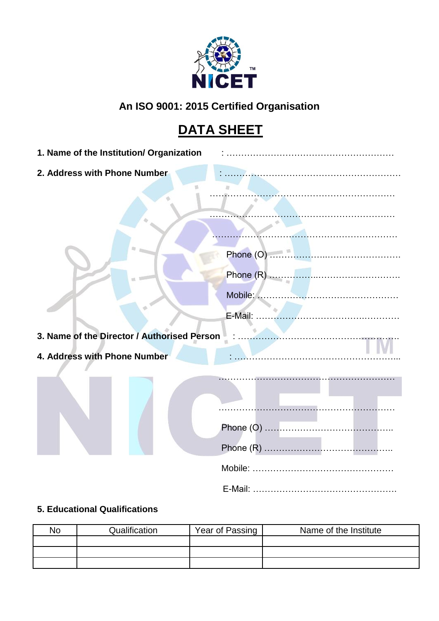

# **An ISO 9001: 2015 Certified Organisation**

# **DATA SHEET**

| 1. Name of the Institution/ Organization    |  |
|---------------------------------------------|--|
| 2. Address with Phone Number                |  |
|                                             |  |
|                                             |  |
|                                             |  |
|                                             |  |
|                                             |  |
| 3. Name of the Director / Authorised Person |  |
| 4. Address with Phone Number                |  |
|                                             |  |
|                                             |  |
|                                             |  |
|                                             |  |
|                                             |  |
|                                             |  |

# **5. Educational Qualifications**

| No | Qualification | Year of Passing | Name of the Institute |
|----|---------------|-----------------|-----------------------|
|    |               |                 |                       |
|    |               |                 |                       |
|    |               |                 |                       |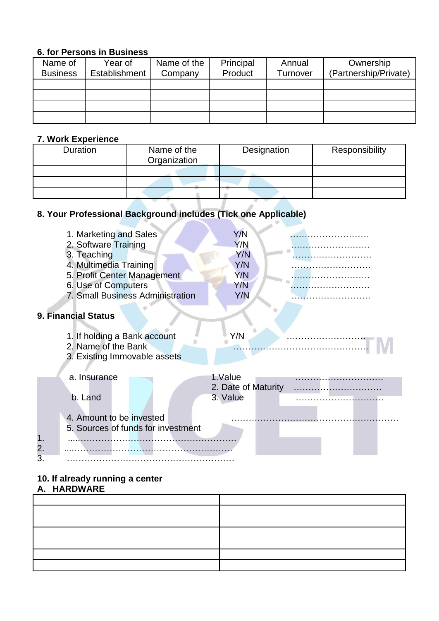#### **6. for Persons in Business**

| Name of         | Year of       | Name of the | Principal | Annual   | Ownership             |
|-----------------|---------------|-------------|-----------|----------|-----------------------|
| <b>Business</b> | Establishment | Company     | Product   | Turnover | (Partnership/Private) |
|                 |               |             |           |          |                       |
|                 |               |             |           |          |                       |
|                 |               |             |           |          |                       |
|                 |               |             |           |          |                       |

# **7. Work Experience**

| Duration | Name of the<br>Organization | Designation | Responsibility |
|----------|-----------------------------|-------------|----------------|
|          |                             |             |                |
|          |                             |             |                |
|          |                             |             |                |

#### **8. Your Professional Background includes (Tick one Applicable)** - 1 ×  $\Delta \omega$

|    | 1. Marketing and Sales<br>2. Software Training<br>3. Teaching<br>4. Multimedia Training<br>5. Profit Center Management<br>6. Use of Computers<br>7. Small Business Administration | Y/N<br>Y/N<br>Y/N<br>Y/N<br>Y/N<br>Y/N<br>Y/N |  |
|----|-----------------------------------------------------------------------------------------------------------------------------------------------------------------------------------|-----------------------------------------------|--|
|    | 9. Financial Status                                                                                                                                                               |                                               |  |
|    | 1. If holding a Bank account<br>2. Name of the Bank<br>3. Existing Immovable assets                                                                                               | Y/N                                           |  |
|    | a. Insurance                                                                                                                                                                      | 1.Value<br>2. Date of Maturity                |  |
| 2. | b. Land<br>4. Amount to be invested<br>5. Sources of funds for investment                                                                                                         | 3. Value                                      |  |
| 3. |                                                                                                                                                                                   |                                               |  |

#### **10. If already running a center**

#### **A. HARDWARE**

| the control of the control of the control of the control of |  |  |  |
|-------------------------------------------------------------|--|--|--|
|                                                             |  |  |  |
|                                                             |  |  |  |
|                                                             |  |  |  |
|                                                             |  |  |  |
|                                                             |  |  |  |
|                                                             |  |  |  |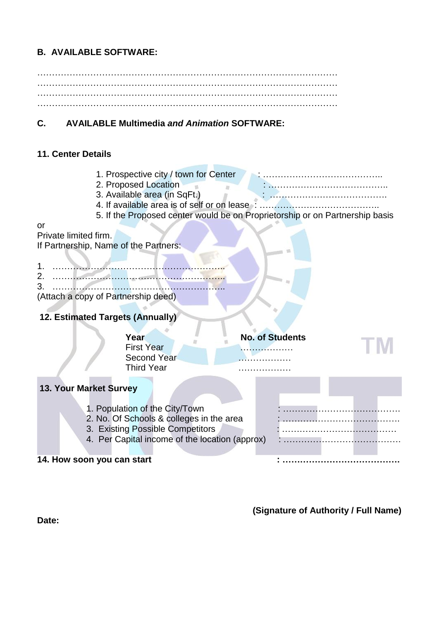## **B. AVAILABLE SOFTWARE:**

 $\mathcal{L}^{\text{max}}_{\text{max}}$ ………………………………………………………………………………………… …………………………………………………………………………………………

#### **C. AVAILABLE Multimedia** *and Animation* **SOFTWARE:**

#### **11. Center Details**

- 1. Prospective city / town for Center : …………………………………..
- 2. Proposed Location : …………………………………..
- 3. Available area (in SqFt.) : ………………………………….
- 4. If available area is of self or on lease : …………………………………..
- 5. If the Proposed center would be on Proprietorship or on Partnership basis

#### or

Private limited firm.

If Partnership, Name of the Partners:

1. ………………………………………………….. 2. ………………………………………………….. 3. ………………………………………………….. (Attach a copy of Partnership deed)

## **12. Estimated Targets (Annually)**

|                               | Year<br><b>First Year</b><br><b>Second Year</b><br><b>Third Year</b> | <b>No. of Students</b><br>.<br>.<br>. |  |
|-------------------------------|----------------------------------------------------------------------|---------------------------------------|--|
| <b>13. Your Market Survey</b> |                                                                      |                                       |  |

- 1. Population of the City/Town : ………………………………….
- 2. No. Of Schools & colleges in the area : ………………………………….
- 3. Existing Possible Competitors : …………………………………
- 4. Per Capital income of the location (approx) : …………………………………………………………………………………

#### **14. How soon you can start : ………………………………….**

**(Signature of Authority / Full Name)**

**Date:**